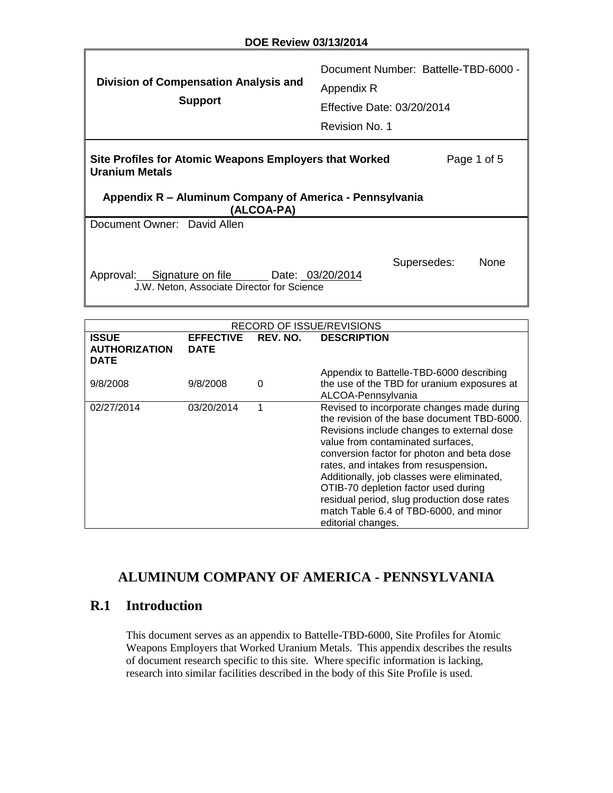| Division of Compensation Analysis and<br><b>Support</b>                                                                                                                 | Document Number: Battelle-TBD-6000 -<br>Appendix R<br>Effective Date: 03/20/2014<br>Revision No. 1 |  |  |  |
|-------------------------------------------------------------------------------------------------------------------------------------------------------------------------|----------------------------------------------------------------------------------------------------|--|--|--|
| Site Profiles for Atomic Weapons Employers that Worked<br>Page 1 of 5<br><b>Uranium Metals</b><br>Appendix R – Aluminum Company of America - Pennsylvania<br>(ALCOA-PA) |                                                                                                    |  |  |  |
| Document Owner: David Allen                                                                                                                                             |                                                                                                    |  |  |  |
| Approval: Signature on file Date: 03/20/2014<br>J.W. Neton, Associate Director for Science                                                                              | Supersedes:<br><b>None</b>                                                                         |  |  |  |
|                                                                                                                                                                         |                                                                                                    |  |  |  |

**DOE Review 03/13/2014** 

| <b>RECORD OF ISSUE/REVISIONS</b>                    |                                 |          |                                                                                                                                                                                                                                                                                                                                                                                                                                                                          |  |  |
|-----------------------------------------------------|---------------------------------|----------|--------------------------------------------------------------------------------------------------------------------------------------------------------------------------------------------------------------------------------------------------------------------------------------------------------------------------------------------------------------------------------------------------------------------------------------------------------------------------|--|--|
| <b>ISSUE</b><br><b>AUTHORIZATION</b><br><b>DATE</b> | <b>EFFECTIVE</b><br><b>DATE</b> | REV. NO. | <b>DESCRIPTION</b>                                                                                                                                                                                                                                                                                                                                                                                                                                                       |  |  |
| 9/8/2008                                            | 9/8/2008                        | 0        | Appendix to Battelle-TBD-6000 describing<br>the use of the TBD for uranium exposures at<br>ALCOA-Pennsylvania                                                                                                                                                                                                                                                                                                                                                            |  |  |
| 02/27/2014                                          | 03/20/2014                      |          | Revised to incorporate changes made during<br>the revision of the base document TBD-6000.<br>Revisions include changes to external dose<br>value from contaminated surfaces,<br>conversion factor for photon and beta dose<br>rates, and intakes from resuspension.<br>Additionally, job classes were eliminated,<br>OTIB-70 depletion factor used during<br>residual period, slug production dose rates<br>match Table 6.4 of TBD-6000, and minor<br>editorial changes. |  |  |

# **ALUMINUM COMPANY OF AMERICA - PENNSYLVANIA**

# **R.1 Introduction**

This document serves as an appendix to Battelle-TBD-6000, Site Profiles for Atomic Weapons Employers that Worked Uranium Metals. This appendix describes the results of document research specific to this site. Where specific information is lacking, research into similar facilities described in the body of this Site Profile is used.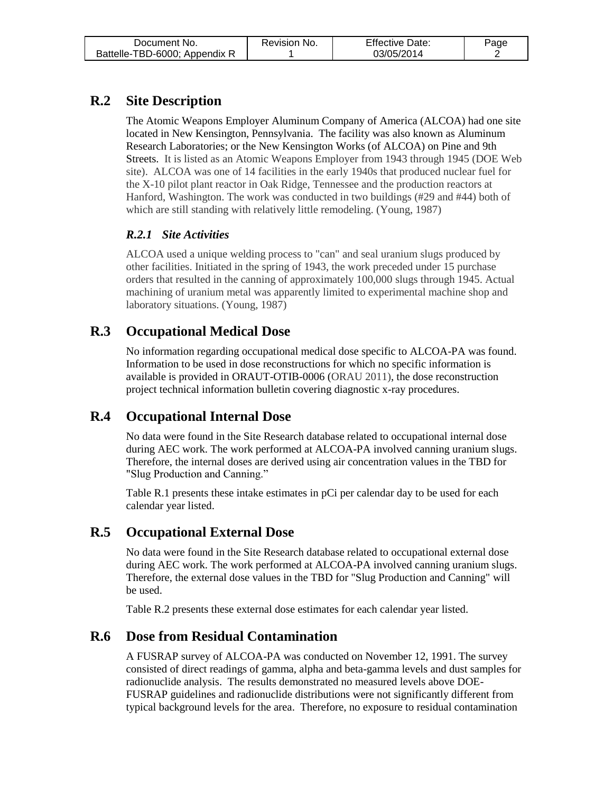| Document No.                  | Revision No. | <b>Effective Date:</b> | Paqe |
|-------------------------------|--------------|------------------------|------|
| Battelle-TBD-6000; Appendix R |              | 03/05/2014             |      |

# **R.2 Site Description**

The Atomic Weapons Employer Aluminum Company of America (ALCOA) had one site located in New Kensington, Pennsylvania. The facility was also known as Aluminum Research Laboratories; or the New Kensington Works (of ALCOA) on Pine and 9th Streets. It is listed as an Atomic Weapons Employer from 1943 through 1945 (DOE Web site). ALCOA was one of 14 facilities in the early 1940s that produced nuclear fuel for the X-10 pilot plant reactor in Oak Ridge, Tennessee and the production reactors at Hanford, Washington. The work was conducted in two buildings (#29 and #44) both of which are still standing with relatively little remodeling. (Young, 1987)

#### *R.2.1 Site Activities*

ALCOA used a unique welding process to "can" and seal uranium slugs produced by other facilities. Initiated in the spring of 1943, the work preceded under 15 purchase orders that resulted in the canning of approximately 100,000 slugs through 1945. Actual machining of uranium metal was apparently limited to experimental machine shop and laboratory situations. (Young, 1987)

# **R.3 Occupational Medical Dose**

No information regarding occupational medical dose specific to ALCOA-PA was found. Information to be used in dose reconstructions for which no specific information is available is provided in ORAUT-OTIB-0006 (ORAU 2011), the dose reconstruction project technical information bulletin covering diagnostic x-ray procedures.

## **R.4 Occupational Internal Dose**

No data were found in the Site Research database related to occupational internal dose during AEC work. The work performed at ALCOA-PA involved canning uranium slugs. Therefore, the internal doses are derived using air concentration values in the TBD for "Slug Production and Canning."

Table R.1 presents these intake estimates in pCi per calendar day to be used for each calendar year listed.

## **R.5 Occupational External Dose**

No data were found in the Site Research database related to occupational external dose during AEC work. The work performed at ALCOA-PA involved canning uranium slugs. Therefore, the external dose values in the TBD for "Slug Production and Canning" will be used.

Table R.2 presents these external dose estimates for each calendar year listed.

## **R.6 Dose from Residual Contamination**

A FUSRAP survey of ALCOA-PA was conducted on November 12, 1991. The survey consisted of direct readings of gamma, alpha and beta-gamma levels and dust samples for radionuclide analysis. The results demonstrated no measured levels above DOE-FUSRAP guidelines and radionuclide distributions were not significantly different from typical background levels for the area. Therefore, no exposure to residual contamination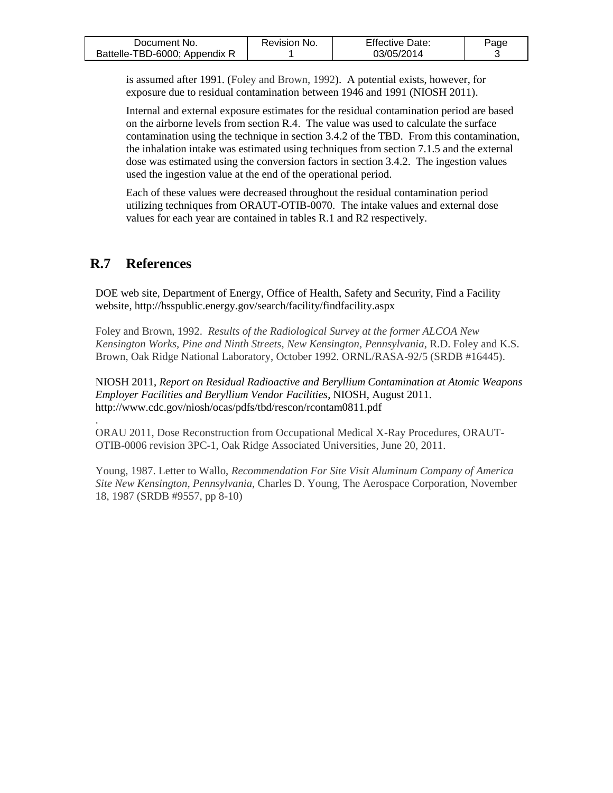| Document No.                  | Revision No. | <b>Effective Date:</b> | Page |
|-------------------------------|--------------|------------------------|------|
| Battelle-TBD-6000; Appendix R |              | 03/05/2014             |      |

is assumed after 1991. (Foley and Brown, 1992). A potential exists, however, for exposure due to residual contamination between 1946 and 1991 (NIOSH 2011).

Internal and external exposure estimates for the residual contamination period are based on the airborne levels from section R.4. The value was used to calculate the surface contamination using the technique in section 3.4.2 of the TBD. From this contamination, the inhalation intake was estimated using techniques from section 7.1.5 and the external dose was estimated using the conversion factors in section 3.4.2. The ingestion values used the ingestion value at the end of the operational period.

Each of these values were decreased throughout the residual contamination period utilizing techniques from ORAUT-OTIB-0070. The intake values and external dose values for each year are contained in tables R.1 and R2 respectively.

#### **R.7 References**

.

DOE web site, Department of Energy, Office of Health, Safety and Security, Find a Facility website, http://hsspublic.energy.gov/search/facility/findfacility.aspx

Foley and Brown, 1992. *Results of the Radiological Survey at the former ALCOA New Kensington Works, Pine and Ninth Streets, New Kensington, Pennsylvania*, R.D. Foley and K.S. Brown, Oak Ridge National Laboratory, October 1992. ORNL/RASA-92/5 (SRDB #16445).

NIOSH 2011, *Report on Residual Radioactive and Beryllium Contamination at Atomic Weapons Employer Facilities and Beryllium Vendor Facilities*, NIOSH, August 2011. http://www.cdc.gov/niosh/ocas/pdfs/tbd/rescon/rcontam0811.pdf

ORAU 2011, Dose Reconstruction from Occupational Medical X-Ray Procedures, ORAUT-OTIB-0006 revision 3PC-1, Oak Ridge Associated Universities, June 20, 2011.

Young, 1987. Letter to Wallo, *Recommendation For Site Visit Aluminum Company of America Site New Kensington, Pennsylvania*, Charles D. Young, The Aerospace Corporation, November 18, 1987 (SRDB #9557, pp 8-10)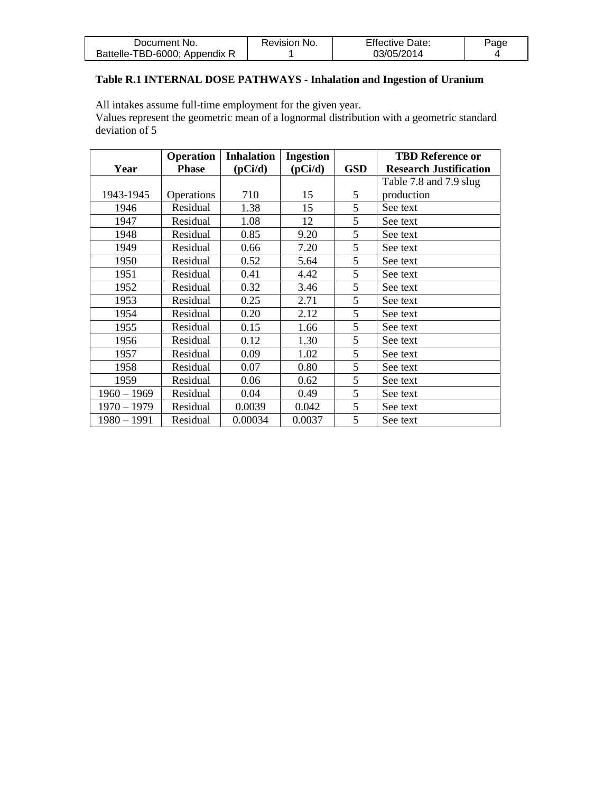| Document No.                  | Revision No. | <b>Effective Date:</b> | Page |
|-------------------------------|--------------|------------------------|------|
| Battelle-TBD-6000; Appendix R |              | 03/05/2014             |      |

#### **Table R.1 INTERNAL DOSE PATHWAYS - Inhalation and Ingestion of Uranium**

All intakes assume full-time employment for the given year.

Values represent the geometric mean of a lognormal distribution with a geometric standard deviation of 5

|               | <b>Operation</b> | <b>Inhalation</b> | <b>Ingestion</b> |            | <b>TBD Reference or</b>       |
|---------------|------------------|-------------------|------------------|------------|-------------------------------|
| Year          | <b>Phase</b>     | (pCi/d)           | (pCi/d)          | <b>GSD</b> | <b>Research Justification</b> |
|               |                  |                   |                  |            | Table 7.8 and 7.9 slug        |
| 1943-1945     | Operations       | 710               | 15               | 5          | production                    |
| 1946          | Residual         | 1.38              | 15               | 5          | See text                      |
| 1947          | Residual         | 1.08              | 12               | 5          | See text                      |
| 1948          | Residual         | 0.85              | 9.20             | 5          | See text                      |
| 1949          | Residual         | 0.66              | 7.20             | 5          | See text                      |
| 1950          | Residual         | 0.52              | 5.64             | 5          | See text                      |
| 1951          | Residual         | 0.41              | 4.42             | 5          | See text                      |
| 1952          | Residual         | 0.32              | 3.46             | 5          | See text                      |
| 1953          | Residual         | 0.25              | 2.71             | 5          | See text                      |
| 1954          | Residual         | 0.20              | 2.12             | 5          | See text                      |
| 1955          | Residual         | 0.15              | 1.66             | 5          | See text                      |
| 1956          | Residual         | 0.12              | 1.30             | 5          | See text                      |
| 1957          | Residual         | 0.09              | 1.02             | 5          | See text                      |
| 1958          | Residual         | 0.07              | 0.80             | 5          | See text                      |
| 1959          | Residual         | 0.06              | 0.62             | 5          | See text                      |
| $1960 - 1969$ | Residual         | 0.04              | 0.49             | 5          | See text                      |
| $1970 - 1979$ | Residual         | 0.0039            | 0.042            | 5          | See text                      |
| $1980 - 1991$ | Residual         | 0.00034           | 0.0037           | 5          | See text                      |